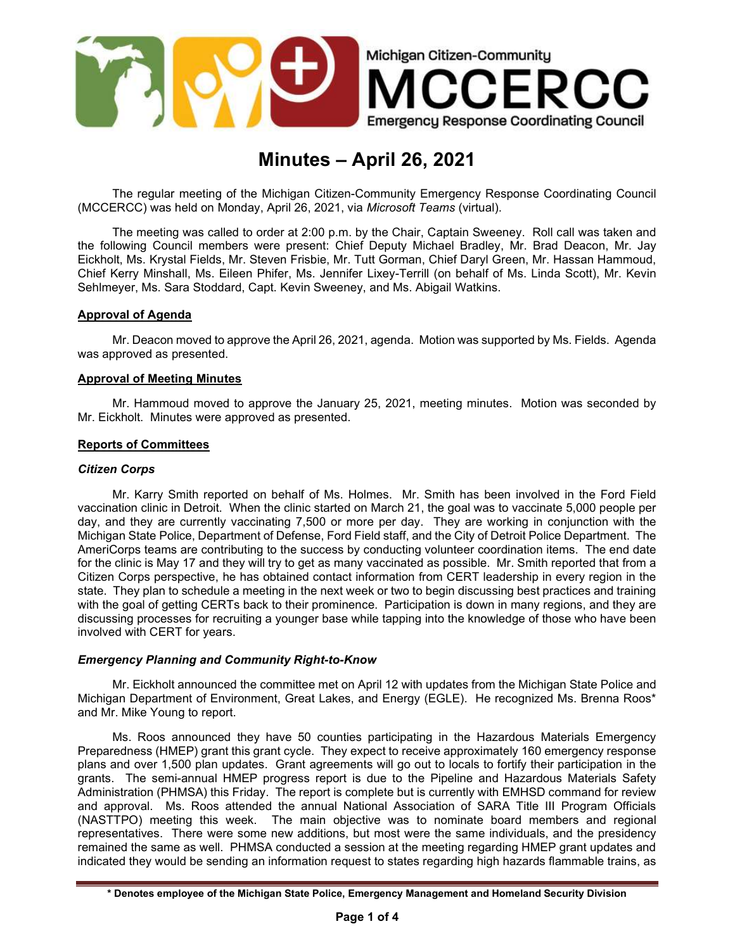

# Minutes – April 26, 2021

The regular meeting of the Michigan Citizen-Community Emergency Response Coordinating Council (MCCERCC) was held on Monday, April 26, 2021, via Microsoft Teams (virtual).

The meeting was called to order at 2:00 p.m. by the Chair, Captain Sweeney. Roll call was taken and the following Council members were present: Chief Deputy Michael Bradley, Mr. Brad Deacon, Mr. Jay Eickholt, Ms. Krystal Fields, Mr. Steven Frisbie, Mr. Tutt Gorman, Chief Daryl Green, Mr. Hassan Hammoud, Chief Kerry Minshall, Ms. Eileen Phifer, Ms. Jennifer Lixey-Terrill (on behalf of Ms. Linda Scott), Mr. Kevin Sehlmeyer, Ms. Sara Stoddard, Capt. Kevin Sweeney, and Ms. Abigail Watkins.

### Approval of Agenda

Mr. Deacon moved to approve the April 26, 2021, agenda. Motion was supported by Ms. Fields. Agenda was approved as presented.

### Approval of Meeting Minutes

Mr. Hammoud moved to approve the January 25, 2021, meeting minutes. Motion was seconded by Mr. Eickholt. Minutes were approved as presented.

### Reports of Committees

### Citizen Corps

Mr. Karry Smith reported on behalf of Ms. Holmes. Mr. Smith has been involved in the Ford Field vaccination clinic in Detroit. When the clinic started on March 21, the goal was to vaccinate 5,000 people per day, and they are currently vaccinating 7,500 or more per day. They are working in conjunction with the Michigan State Police, Department of Defense, Ford Field staff, and the City of Detroit Police Department. The AmeriCorps teams are contributing to the success by conducting volunteer coordination items. The end date for the clinic is May 17 and they will try to get as many vaccinated as possible. Mr. Smith reported that from a Citizen Corps perspective, he has obtained contact information from CERT leadership in every region in the state. They plan to schedule a meeting in the next week or two to begin discussing best practices and training with the goal of getting CERTs back to their prominence. Participation is down in many regions, and they are discussing processes for recruiting a younger base while tapping into the knowledge of those who have been involved with CERT for years.

## Emergency Planning and Community Right-to-Know

Mr. Eickholt announced the committee met on April 12 with updates from the Michigan State Police and Michigan Department of Environment, Great Lakes, and Energy (EGLE). He recognized Ms. Brenna Roos\* and Mr. Mike Young to report.

Ms. Roos announced they have 50 counties participating in the Hazardous Materials Emergency Preparedness (HMEP) grant this grant cycle. They expect to receive approximately 160 emergency response plans and over 1,500 plan updates. Grant agreements will go out to locals to fortify their participation in the grants. The semi-annual HMEP progress report is due to the Pipeline and Hazardous Materials Safety Administration (PHMSA) this Friday. The report is complete but is currently with EMHSD command for review and approval. Ms. Roos attended the annual National Association of SARA Title III Program Officials (NASTTPO) meeting this week. The main objective was to nominate board members and regional representatives. There were some new additions, but most were the same individuals, and the presidency remained the same as well. PHMSA conducted a session at the meeting regarding HMEP grant updates and indicated they would be sending an information request to states regarding high hazards flammable trains, as

<sup>\*</sup> Denotes employee of the Michigan State Police, Emergency Management and Homeland Security Division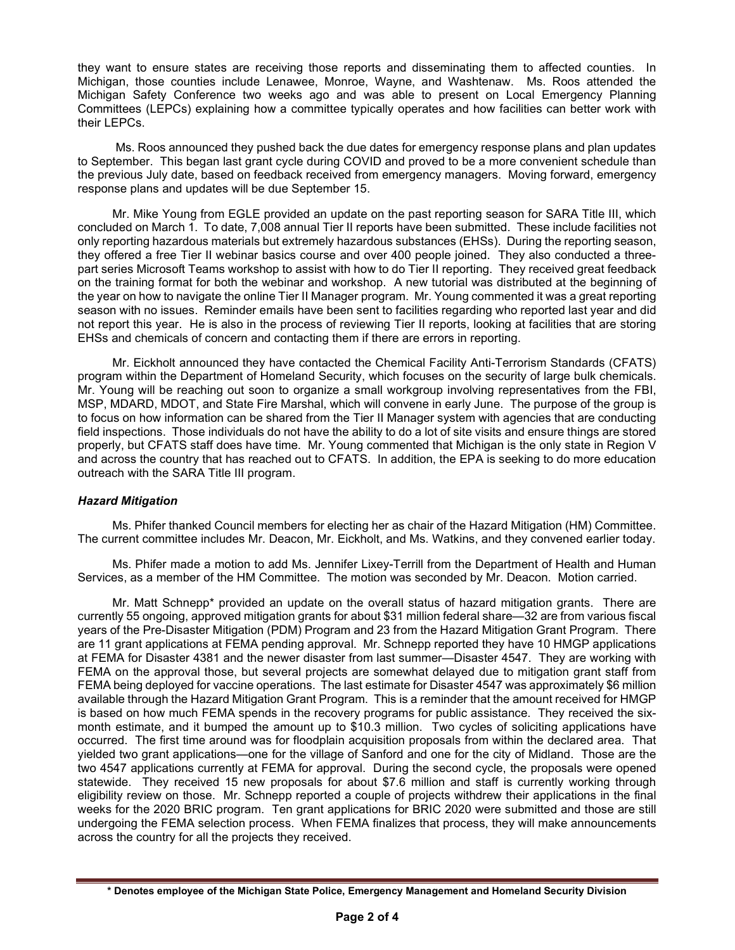they want to ensure states are receiving those reports and disseminating them to affected counties. In Michigan, those counties include Lenawee, Monroe, Wayne, and Washtenaw. Ms. Roos attended the Michigan Safety Conference two weeks ago and was able to present on Local Emergency Planning Committees (LEPCs) explaining how a committee typically operates and how facilities can better work with their LEPCs.

 Ms. Roos announced they pushed back the due dates for emergency response plans and plan updates to September. This began last grant cycle during COVID and proved to be a more convenient schedule than the previous July date, based on feedback received from emergency managers. Moving forward, emergency response plans and updates will be due September 15.

Mr. Mike Young from EGLE provided an update on the past reporting season for SARA Title III, which concluded on March 1. To date, 7,008 annual Tier II reports have been submitted. These include facilities not only reporting hazardous materials but extremely hazardous substances (EHSs). During the reporting season, they offered a free Tier II webinar basics course and over 400 people joined. They also conducted a threepart series Microsoft Teams workshop to assist with how to do Tier II reporting. They received great feedback on the training format for both the webinar and workshop. A new tutorial was distributed at the beginning of the year on how to navigate the online Tier II Manager program. Mr. Young commented it was a great reporting season with no issues. Reminder emails have been sent to facilities regarding who reported last year and did not report this year. He is also in the process of reviewing Tier II reports, looking at facilities that are storing EHSs and chemicals of concern and contacting them if there are errors in reporting.

Mr. Eickholt announced they have contacted the Chemical Facility Anti-Terrorism Standards (CFATS) program within the Department of Homeland Security, which focuses on the security of large bulk chemicals. Mr. Young will be reaching out soon to organize a small workgroup involving representatives from the FBI, MSP, MDARD, MDOT, and State Fire Marshal, which will convene in early June. The purpose of the group is to focus on how information can be shared from the Tier II Manager system with agencies that are conducting field inspections. Those individuals do not have the ability to do a lot of site visits and ensure things are stored properly, but CFATS staff does have time. Mr. Young commented that Michigan is the only state in Region V and across the country that has reached out to CFATS. In addition, the EPA is seeking to do more education outreach with the SARA Title III program.

## Hazard Mitigation

 Ms. Phifer thanked Council members for electing her as chair of the Hazard Mitigation (HM) Committee. The current committee includes Mr. Deacon, Mr. Eickholt, and Ms. Watkins, and they convened earlier today.

 Ms. Phifer made a motion to add Ms. Jennifer Lixey-Terrill from the Department of Health and Human Services, as a member of the HM Committee. The motion was seconded by Mr. Deacon. Motion carried.

 Mr. Matt Schnepp\* provided an update on the overall status of hazard mitigation grants. There are currently 55 ongoing, approved mitigation grants for about \$31 million federal share—32 are from various fiscal years of the Pre-Disaster Mitigation (PDM) Program and 23 from the Hazard Mitigation Grant Program. There are 11 grant applications at FEMA pending approval. Mr. Schnepp reported they have 10 HMGP applications at FEMA for Disaster 4381 and the newer disaster from last summer—Disaster 4547. They are working with FEMA on the approval those, but several projects are somewhat delayed due to mitigation grant staff from FEMA being deployed for vaccine operations. The last estimate for Disaster 4547 was approximately \$6 million available through the Hazard Mitigation Grant Program. This is a reminder that the amount received for HMGP is based on how much FEMA spends in the recovery programs for public assistance. They received the sixmonth estimate, and it bumped the amount up to \$10.3 million. Two cycles of soliciting applications have occurred. The first time around was for floodplain acquisition proposals from within the declared area. That yielded two grant applications—one for the village of Sanford and one for the city of Midland. Those are the two 4547 applications currently at FEMA for approval. During the second cycle, the proposals were opened statewide. They received 15 new proposals for about \$7.6 million and staff is currently working through eligibility review on those. Mr. Schnepp reported a couple of projects withdrew their applications in the final weeks for the 2020 BRIC program. Ten grant applications for BRIC 2020 were submitted and those are still undergoing the FEMA selection process. When FEMA finalizes that process, they will make announcements across the country for all the projects they received.

<sup>\*</sup> Denotes employee of the Michigan State Police, Emergency Management and Homeland Security Division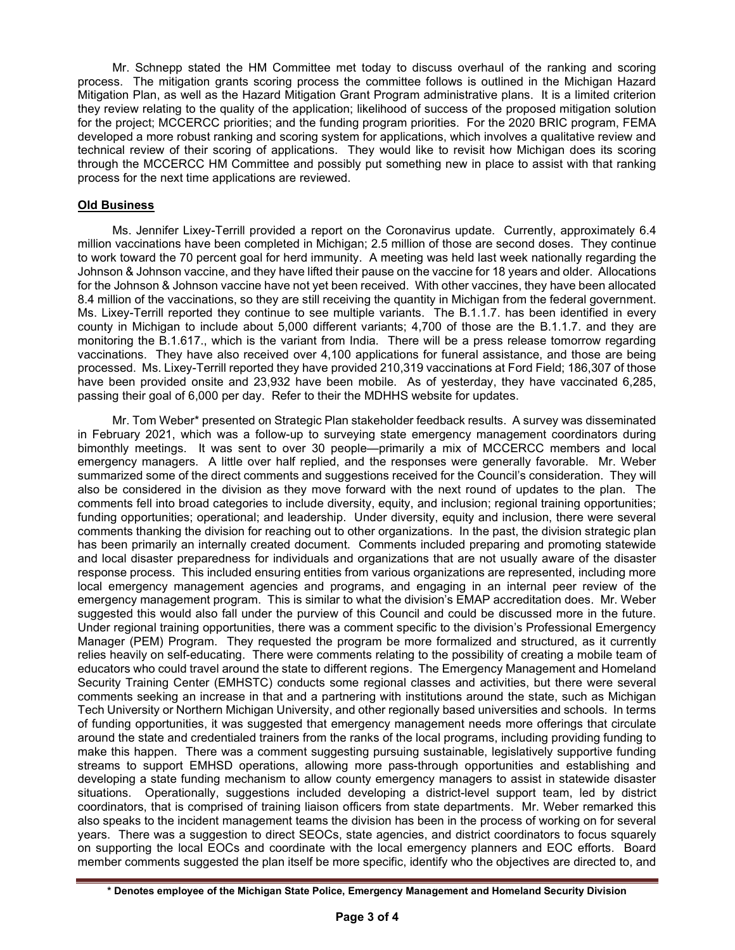Mr. Schnepp stated the HM Committee met today to discuss overhaul of the ranking and scoring process. The mitigation grants scoring process the committee follows is outlined in the Michigan Hazard Mitigation Plan, as well as the Hazard Mitigation Grant Program administrative plans. It is a limited criterion they review relating to the quality of the application; likelihood of success of the proposed mitigation solution for the project; MCCERCC priorities; and the funding program priorities. For the 2020 BRIC program, FEMA developed a more robust ranking and scoring system for applications, which involves a qualitative review and technical review of their scoring of applications. They would like to revisit how Michigan does its scoring through the MCCERCC HM Committee and possibly put something new in place to assist with that ranking process for the next time applications are reviewed.

# Old Business

Ms. Jennifer Lixey-Terrill provided a report on the Coronavirus update. Currently, approximately 6.4 million vaccinations have been completed in Michigan; 2.5 million of those are second doses. They continue to work toward the 70 percent goal for herd immunity. A meeting was held last week nationally regarding the Johnson & Johnson vaccine, and they have lifted their pause on the vaccine for 18 years and older. Allocations for the Johnson & Johnson vaccine have not yet been received. With other vaccines, they have been allocated 8.4 million of the vaccinations, so they are still receiving the quantity in Michigan from the federal government. Ms. Lixey-Terrill reported they continue to see multiple variants. The B.1.1.7. has been identified in every county in Michigan to include about 5,000 different variants; 4,700 of those are the B.1.1.7. and they are monitoring the B.1.617., which is the variant from India. There will be a press release tomorrow regarding vaccinations. They have also received over 4,100 applications for funeral assistance, and those are being processed. Ms. Lixey-Terrill reported they have provided 210,319 vaccinations at Ford Field; 186,307 of those have been provided onsite and 23,932 have been mobile. As of yesterday, they have vaccinated 6,285, passing their goal of 6,000 per day. Refer to their the MDHHS website for updates.

Mr. Tom Weber\* presented on Strategic Plan stakeholder feedback results. A survey was disseminated in February 2021, which was a follow-up to surveying state emergency management coordinators during bimonthly meetings. It was sent to over 30 people—primarily a mix of MCCERCC members and local emergency managers. A little over half replied, and the responses were generally favorable. Mr. Weber summarized some of the direct comments and suggestions received for the Council's consideration. They will also be considered in the division as they move forward with the next round of updates to the plan. The comments fell into broad categories to include diversity, equity, and inclusion; regional training opportunities; funding opportunities; operational; and leadership. Under diversity, equity and inclusion, there were several comments thanking the division for reaching out to other organizations. In the past, the division strategic plan has been primarily an internally created document. Comments included preparing and promoting statewide and local disaster preparedness for individuals and organizations that are not usually aware of the disaster response process. This included ensuring entities from various organizations are represented, including more local emergency management agencies and programs, and engaging in an internal peer review of the emergency management program. This is similar to what the division's EMAP accreditation does. Mr. Weber suggested this would also fall under the purview of this Council and could be discussed more in the future. Under regional training opportunities, there was a comment specific to the division's Professional Emergency Manager (PEM) Program. They requested the program be more formalized and structured, as it currently relies heavily on self-educating. There were comments relating to the possibility of creating a mobile team of educators who could travel around the state to different regions. The Emergency Management and Homeland Security Training Center (EMHSTC) conducts some regional classes and activities, but there were several comments seeking an increase in that and a partnering with institutions around the state, such as Michigan Tech University or Northern Michigan University, and other regionally based universities and schools. In terms of funding opportunities, it was suggested that emergency management needs more offerings that circulate around the state and credentialed trainers from the ranks of the local programs, including providing funding to make this happen. There was a comment suggesting pursuing sustainable, legislatively supportive funding streams to support EMHSD operations, allowing more pass-through opportunities and establishing and developing a state funding mechanism to allow county emergency managers to assist in statewide disaster situations. Operationally, suggestions included developing a district-level support team, led by district coordinators, that is comprised of training liaison officers from state departments. Mr. Weber remarked this also speaks to the incident management teams the division has been in the process of working on for several years. There was a suggestion to direct SEOCs, state agencies, and district coordinators to focus squarely on supporting the local EOCs and coordinate with the local emergency planners and EOC efforts. Board member comments suggested the plan itself be more specific, identify who the objectives are directed to, and

<sup>\*</sup> Denotes employee of the Michigan State Police, Emergency Management and Homeland Security Division